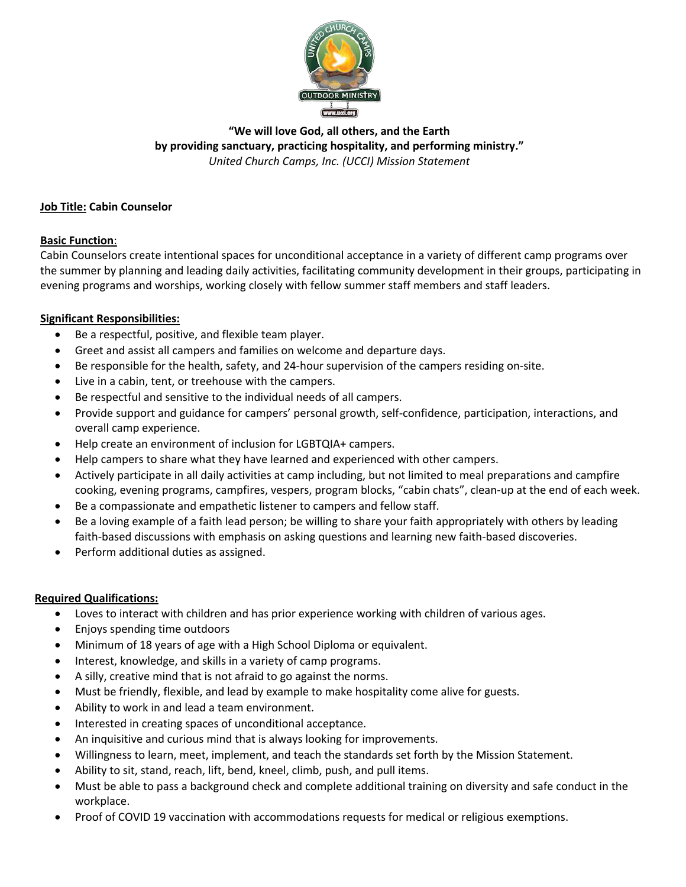

# **"We will love God, all others, and the Earth by providing sanctuary, practicing hospitality, and performing ministry."** *United Church Camps, Inc. (UCCI) Mission Statement*

## **Job Title: Cabin Counselor**

## **Basic Function**:

Cabin Counselors create intentional spaces for unconditional acceptance in a variety of different camp programs over the summer by planning and leading daily activities, facilitating community development in their groups, participating in evening programs and worships, working closely with fellow summer staff members and staff leaders.

## **Significant Responsibilities:**

- Be a respectful, positive, and flexible team player.
- Greet and assist all campers and families on welcome and departure days.
- Be responsible for the health, safety, and 24-hour supervision of the campers residing on-site.
- Live in a cabin, tent, or treehouse with the campers.
- Be respectful and sensitive to the individual needs of all campers.
- Provide support and guidance for campers' personal growth, self-confidence, participation, interactions, and overall camp experience.
- Help create an environment of inclusion for LGBTQIA+ campers.
- Help campers to share what they have learned and experienced with other campers.
- Actively participate in all daily activities at camp including, but not limited to meal preparations and campfire cooking, evening programs, campfires, vespers, program blocks, "cabin chats", clean-up at the end of each week.
- Be a compassionate and empathetic listener to campers and fellow staff.
- Be a loving example of a faith lead person; be willing to share your faith appropriately with others by leading faith-based discussions with emphasis on asking questions and learning new faith-based discoveries.
- Perform additional duties as assigned.

#### **Required Qualifications:**

- Loves to interact with children and has prior experience working with children of various ages.
- Enjoys spending time outdoors
- Minimum of 18 years of age with a High School Diploma or equivalent.
- Interest, knowledge, and skills in a variety of camp programs.
- A silly, creative mind that is not afraid to go against the norms.
- Must be friendly, flexible, and lead by example to make hospitality come alive for guests.
- Ability to work in and lead a team environment.
- Interested in creating spaces of unconditional acceptance.
- An inquisitive and curious mind that is always looking for improvements.
- Willingness to learn, meet, implement, and teach the standards set forth by the Mission Statement.
- Ability to sit, stand, reach, lift, bend, kneel, climb, push, and pull items.
- Must be able to pass a background check and complete additional training on diversity and safe conduct in the workplace.
- Proof of COVID 19 vaccination with accommodations requests for medical or religious exemptions.